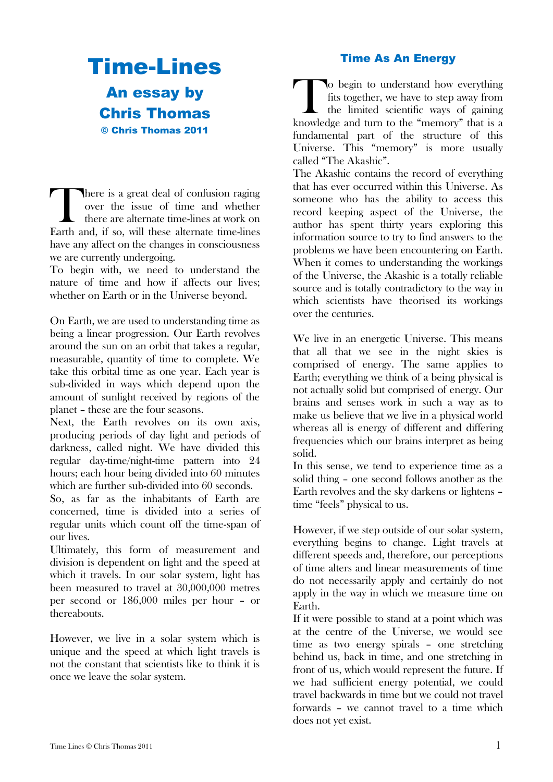# Time-Lines An essay by Chris Thomas © Chris Thomas 2011

here is a great deal of confusion raging over the issue of time and whether there are alternate time-lines at work on There is a great deal of confusion raging<br>
over the issue of time and whether<br>
there are alternate time-lines at work on<br>
Earth and, if so, will these alternate time-lines have any affect on the changes in consciousness we are currently undergoing.

To begin with, we need to understand the nature of time and how if affects our lives; whether on Earth or in the Universe beyond.

On Earth, we are used to understanding time as being a linear progression. Our Earth revolves around the sun on an orbit that takes a regular, measurable, quantity of time to complete. We take this orbital time as one year. Each year is sub-divided in ways which depend upon the amount of sunlight received by regions of the planet – these are the four seasons.

Next, the Earth revolves on its own axis, producing periods of day light and periods of darkness, called night. We have divided this regular day-time/night-time pattern into 24 hours; each hour being divided into 60 minutes which are further sub-divided into 60 seconds.

So, as far as the inhabitants of Earth are concerned, time is divided into a series of regular units which count off the time-span of our lives.

Ultimately, this form of measurement and division is dependent on light and the speed at which it travels. In our solar system, light has been measured to travel at 30,000,000 metres per second or 186,000 miles per hour – or thereabouts.

However, we live in a solar system which is unique and the speed at which light travels is not the constant that scientists like to think it is once we leave the solar system.

# Time As An Energy

o begin to understand how everything fits together, we have to step away from the limited scientific ways of gaining **the Solution Start Contains and the Start Contains and the set of the imited scientific ways of gaining knowledge and turn to the "memory" that is a** fundamental part of the structure of this Universe. This "memory" is more usually called "The Akashic". The Akashic contains the record of everything

that has ever occurred within this Universe. As someone who has the ability to access this record keeping aspect of the Universe, the author has spent thirty years exploring this information source to try to find answers to the problems we have been encountering on Earth. When it comes to understanding the workings of the Universe, the Akashic is a totally reliable source and is totally contradictory to the way in which scientists have theorised its workings over the centuries.

We live in an energetic Universe. This means that all that we see in the night skies is comprised of energy. The same applies to Earth; everything we think of a being physical is not actually solid but comprised of energy. Our brains and senses work in such a way as to make us believe that we live in a physical world whereas all is energy of different and differing frequencies which our brains interpret as being solid.

In this sense, we tend to experience time as a solid thing – one second follows another as the Earth revolves and the sky darkens or lightens – time "feels" physical to us.

However, if we step outside of our solar system, everything begins to change. Light travels at different speeds and, therefore, our perceptions of time alters and linear measurements of time do not necessarily apply and certainly do not apply in the way in which we measure time on Earth.

If it were possible to stand at a point which was at the centre of the Universe, we would see time as two energy spirals – one stretching behind us, back in time, and one stretching in front of us, which would represent the future. If we had sufficient energy potential, we could travel backwards in time but we could not travel forwards – we cannot travel to a time which does not yet exist.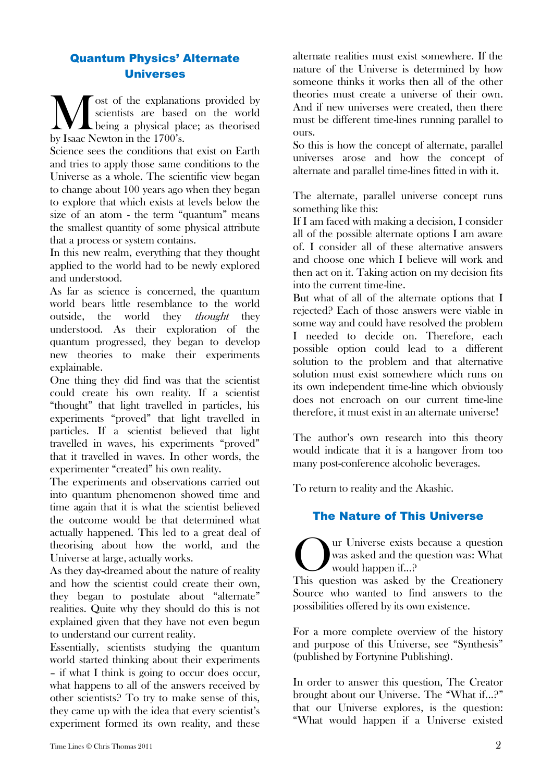# Quantum Physics' Alternate Universes

ost of the explanations provided by scientists are based on the world being a physical place; as theorised **M** ost of the explanation<br>scientists are based<br>by Isaac Newton in the 1700's.

Science sees the conditions that exist on Earth and tries to apply those same conditions to the Universe as a whole. The scientific view began to change about 100 years ago when they began to explore that which exists at levels below the size of an atom - the term "quantum" means the smallest quantity of some physical attribute that a process or system contains.

In this new realm, everything that they thought applied to the world had to be newly explored and understood.

As far as science is concerned, the quantum world bears little resemblance to the world outside, the world they *thought* they understood. As their exploration of the quantum progressed, they began to develop new theories to make their experiments explainable.

One thing they did find was that the scientist could create his own reality. If a scientist "thought" that light travelled in particles, his experiments "proved" that light travelled in particles. If a scientist believed that light travelled in waves, his experiments "proved" that it travelled in waves. In other words, the experimenter "created" his own reality.

The experiments and observations carried out into quantum phenomenon showed time and time again that it is what the scientist believed the outcome would be that determined what actually happened. This led to a great deal of theorising about how the world, and the Universe at large, actually works.

As they day-dreamed about the nature of reality and how the scientist could create their own, they began to postulate about "alternate" realities. Quite why they should do this is not explained given that they have not even begun to understand our current reality.

Essentially, scientists studying the quantum world started thinking about their experiments – if what I think is going to occur does occur, what happens to all of the answers received by other scientists? To try to make sense of this, they came up with the idea that every scientist's experiment formed its own reality, and these

alternate realities must exist somewhere. If the nature of the Universe is determined by how someone thinks it works then all of the other theories must create a universe of their own. And if new universes were created, then there must be different time-lines running parallel to ours.

So this is how the concept of alternate, parallel universes arose and how the concept of alternate and parallel time-lines fitted in with it.

The alternate, parallel universe concept runs something like this:

If I am faced with making a decision, I consider all of the possible alternate options I am aware of. I consider all of these alternative answers and choose one which I believe will work and then act on it. Taking action on my decision fits into the current time-line.

But what of all of the alternate options that I rejected? Each of those answers were viable in some way and could have resolved the problem I needed to decide on. Therefore, each possible option could lead to a different solution to the problem and that alternative solution must exist somewhere which runs on its own independent time-line which obviously does not encroach on our current time-line therefore, it must exist in an alternate universe!

The author's own research into this theory would indicate that it is a hangover from too many post-conference alcoholic beverages.

To return to reality and the Akashic.

# The Nature of This Universe

ur Universe exists because a question was asked and the question was: What would happen if...? This question was asked by the Creationery Source who wanted to find answers to the O<sub>Tio</sub>

possibilities offered by its own existence.

For a more complete overview of the history and purpose of this Universe, see "Synthesis" (published by Fortynine Publishing).

In order to answer this question, The Creator brought about our Universe. The "What if...?" that our Universe explores, is the question: "What would happen if a Universe existed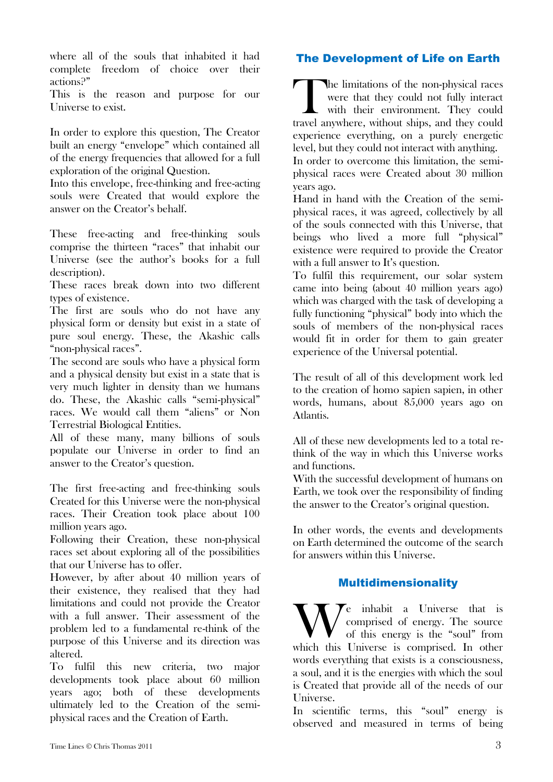where all of the souls that inhabited it had complete freedom of choice over their actions?"

This is the reason and purpose for our Universe to exist.

In order to explore this question, The Creator built an energy "envelope" which contained all of the energy frequencies that allowed for a full exploration of the original Question.

Into this envelope, free-thinking and free-acting souls were Created that would explore the answer on the Creator's behalf.

These free-acting and free-thinking souls comprise the thirteen "races" that inhabit our Universe (see the author's books for a full description).

These races break down into two different types of existence.

The first are souls who do not have any physical form or density but exist in a state of pure soul energy. These, the Akashic calls "non-physical races".

The second are souls who have a physical form and a physical density but exist in a state that is very much lighter in density than we humans do. These, the Akashic calls "semi-physical" races. We would call them "aliens" or Non Terrestrial Biological Entities.

All of these many, many billions of souls populate our Universe in order to find an answer to the Creator's question.

The first free-acting and free-thinking souls Created for this Universe were the non-physical races. Their Creation took place about 100 million years ago.

Following their Creation, these non-physical races set about exploring all of the possibilities that our Universe has to offer.

However, by after about 40 million years of their existence, they realised that they had limitations and could not provide the Creator with a full answer. Their assessment of the problem led to a fundamental re-think of the purpose of this Universe and its direction was altered.

To fulfil this new criteria, two major developments took place about 60 million years ago; both of these developments ultimately led to the Creation of the semiphysical races and the Creation of Earth.

## The Development of Life on Earth

he limitations of the non-physical races were that they could not fully interact with their environment. They could The limitations of the non-physical races<br>were that they could not fully interact<br>with their environment. They could<br>travel anywhere, without ships, and they could experience everything, on a purely energetic level, but they could not interact with anything.

In order to overcome this limitation, the semiphysical races were Created about 30 million years ago.

Hand in hand with the Creation of the semiphysical races, it was agreed, collectively by all of the souls connected with this Universe, that beings who lived a more full "physical" existence were required to provide the Creator with a full answer to It's question.

To fulfil this requirement, our solar system came into being (about 40 million years ago) which was charged with the task of developing a fully functioning "physical" body into which the souls of members of the non-physical races would fit in order for them to gain greater experience of the Universal potential.

The result of all of this development work led to the creation of homo sapien sapien, in other words, humans, about 85,000 years ago on Atlantis.

All of these new developments led to a total rethink of the way in which this Universe works and functions.

With the successful development of humans on Earth, we took over the responsibility of finding the answer to the Creator's original question.

In other words, the events and developments on Earth determined the outcome of the search for answers within this Universe.

# Multidimensionality

 $\mathcal{T}$ e inhabit a Universe that is comprised of energy. The source of this energy is the "soul" from We inhabit a Universe that is comprised of energy. The source of this energy is the "soul" from which this Universe is comprised. In other words everything that exists is a consciousness, a soul, and it is the energies with which the soul is Created that provide all of the needs of our Universe.

In scientific terms, this "soul" energy is observed and measured in terms of being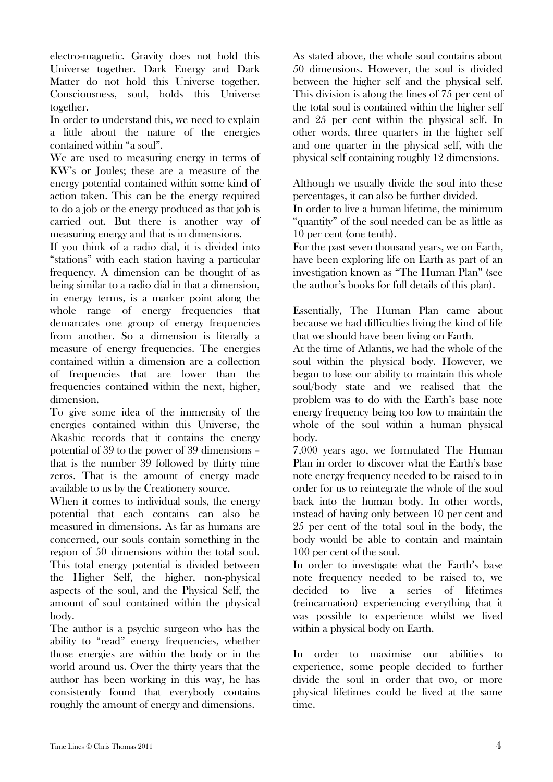electro-magnetic. Gravity does not hold this Universe together. Dark Energy and Dark Matter do not hold this Universe together. Consciousness, soul, holds this Universe together.

In order to understand this, we need to explain a little about the nature of the energies contained within "a soul".

We are used to measuring energy in terms of KW's or Joules; these are a measure of the energy potential contained within some kind of action taken. This can be the energy required to do a job or the energy produced as that job is carried out. But there is another way of measuring energy and that is in dimensions.

If you think of a radio dial, it is divided into "stations" with each station having a particular frequency. A dimension can be thought of as being similar to a radio dial in that a dimension, in energy terms, is a marker point along the whole range of energy frequencies that demarcates one group of energy frequencies from another. So a dimension is literally a measure of energy frequencies. The energies contained within a dimension are a collection of frequencies that are lower than the frequencies contained within the next, higher, dimension.

To give some idea of the immensity of the energies contained within this Universe, the Akashic records that it contains the energy potential of 39 to the power of 39 dimensions – that is the number 39 followed by thirty nine zeros. That is the amount of energy made available to us by the Creationery source.

When it comes to individual souls, the energy potential that each contains can also be measured in dimensions. As far as humans are concerned, our souls contain something in the region of 50 dimensions within the total soul. This total energy potential is divided between the Higher Self, the higher, non-physical aspects of the soul, and the Physical Self, the amount of soul contained within the physical body.

The author is a psychic surgeon who has the ability to "read" energy frequencies, whether those energies are within the body or in the world around us. Over the thirty years that the author has been working in this way, he has consistently found that everybody contains roughly the amount of energy and dimensions.

As stated above, the whole soul contains about 50 dimensions. However, the soul is divided between the higher self and the physical self. This division is along the lines of 75 per cent of the total soul is contained within the higher self and 25 per cent within the physical self. In other words, three quarters in the higher self and one quarter in the physical self, with the physical self containing roughly 12 dimensions.

Although we usually divide the soul into these percentages, it can also be further divided.

In order to live a human lifetime, the minimum "quantity" of the soul needed can be as little as 10 per cent (one tenth).

For the past seven thousand years, we on Earth, have been exploring life on Earth as part of an investigation known as "The Human Plan" (see the author's books for full details of this plan).

Essentially, The Human Plan came about because we had difficulties living the kind of life that we should have been living on Earth.

At the time of Atlantis, we had the whole of the soul within the physical body. However, we began to lose our ability to maintain this whole soul/body state and we realised that the problem was to do with the Earth's base note energy frequency being too low to maintain the whole of the soul within a human physical body.

7,000 years ago, we formulated The Human Plan in order to discover what the Earth's base note energy frequency needed to be raised to in order for us to reintegrate the whole of the soul back into the human body. In other words, instead of having only between 10 per cent and 25 per cent of the total soul in the body, the body would be able to contain and maintain 100 per cent of the soul.

In order to investigate what the Earth's base note frequency needed to be raised to, we decided to live a series of lifetimes (reincarnation) experiencing everything that it was possible to experience whilst we lived within a physical body on Earth.

In order to maximise our abilities to experience, some people decided to further divide the soul in order that two, or more physical lifetimes could be lived at the same time.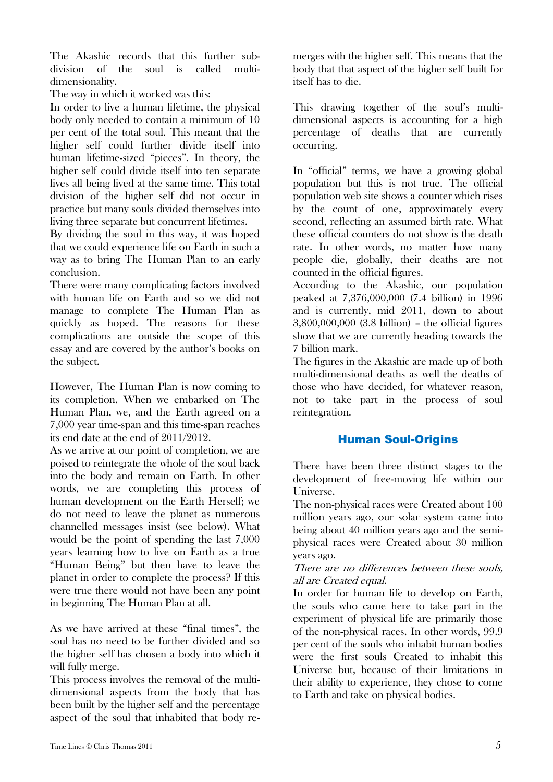The Akashic records that this further subdivision of the soul is called multidimensionality.

The way in which it worked was this:

In order to live a human lifetime, the physical body only needed to contain a minimum of 10 per cent of the total soul. This meant that the higher self could further divide itself into human lifetime-sized "pieces". In theory, the higher self could divide itself into ten separate lives all being lived at the same time. This total division of the higher self did not occur in practice but many souls divided themselves into living three separate but concurrent lifetimes.

By dividing the soul in this way, it was hoped that we could experience life on Earth in such a way as to bring The Human Plan to an early conclusion.

There were many complicating factors involved with human life on Earth and so we did not manage to complete The Human Plan as quickly as hoped. The reasons for these complications are outside the scope of this essay and are covered by the author's books on the subject.

However, The Human Plan is now coming to its completion. When we embarked on The Human Plan, we, and the Earth agreed on a 7,000 year time-span and this time-span reaches its end date at the end of 2011/2012.

As we arrive at our point of completion, we are poised to reintegrate the whole of the soul back into the body and remain on Earth. In other words, we are completing this process of human development on the Earth Herself; we do not need to leave the planet as numerous channelled messages insist (see below). What would be the point of spending the last 7,000 years learning how to live on Earth as a true "Human Being" but then have to leave the planet in order to complete the process? If this were true there would not have been any point in beginning The Human Plan at all.

As we have arrived at these "final times", the soul has no need to be further divided and so the higher self has chosen a body into which it will fully merge.

This process involves the removal of the multidimensional aspects from the body that has been built by the higher self and the percentage aspect of the soul that inhabited that body remerges with the higher self. This means that the body that that aspect of the higher self built for itself has to die.

This drawing together of the soul's multidimensional aspects is accounting for a high percentage of deaths that are currently occurring.

In "official" terms, we have a growing global population but this is not true. The official population web site shows a counter which rises by the count of one, approximately every second, reflecting an assumed birth rate. What these official counters do not show is the death rate. In other words, no matter how many people die, globally, their deaths are not counted in the official figures.

According to the Akashic, our population peaked at 7,376,000,000 (7.4 billion) in 1996 and is currently, mid 2011, down to about 3,800,000,000 (3.8 billion) – the official figures show that we are currently heading towards the 7 billion mark.

The figures in the Akashic are made up of both multi-dimensional deaths as well the deaths of those who have decided, for whatever reason, not to take part in the process of soul reintegration.

## Human Soul-Origins

There have been three distinct stages to the development of free-moving life within our Universe.

The non-physical races were Created about 100 million years ago, our solar system came into being about 40 million years ago and the semiphysical races were Created about 30 million years ago.

#### There are no differences between these souls, all are Created equal.

In order for human life to develop on Earth, the souls who came here to take part in the experiment of physical life are primarily those of the non-physical races. In other words, 99.9 per cent of the souls who inhabit human bodies were the first souls Created to inhabit this Universe but, because of their limitations in their ability to experience, they chose to come to Earth and take on physical bodies.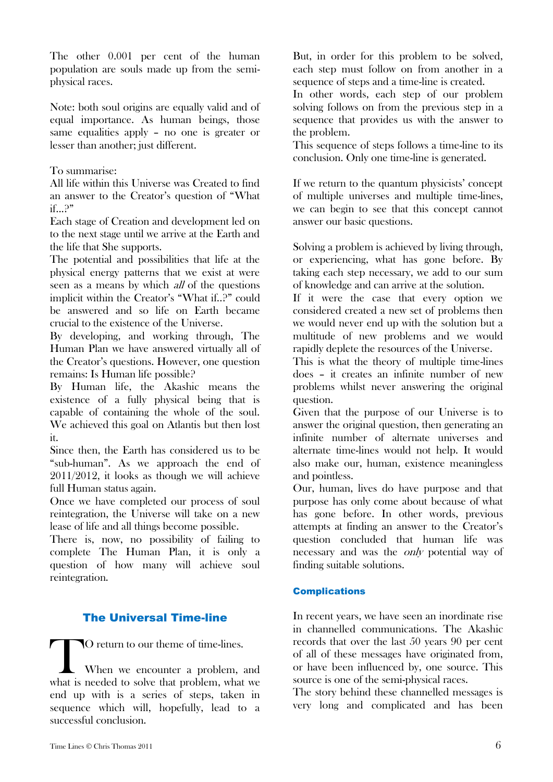The other 0.001 per cent of the human population are souls made up from the semiphysical races.

Note: both soul origins are equally valid and of equal importance. As human beings, those same equalities apply – no one is greater or lesser than another; just different.

#### To summarise:

All life within this Universe was Created to find an answer to the Creator's question of "What if...?"

Each stage of Creation and development led on to the next stage until we arrive at the Earth and the life that She supports.

The potential and possibilities that life at the physical energy patterns that we exist at were seen as a means by which *all* of the questions implicit within the Creator's "What if..?" could be answered and so life on Earth became crucial to the existence of the Universe.

By developing, and working through, The Human Plan we have answered virtually all of the Creator's questions. However, one question remains: Is Human life possible?

By Human life, the Akashic means the existence of a fully physical being that is capable of containing the whole of the soul. We achieved this goal on Atlantis but then lost it.

Since then, the Earth has considered us to be "sub-human". As we approach the end of 2011/2012, it looks as though we will achieve full Human status again.

Once we have completed our process of soul reintegration, the Universe will take on a new lease of life and all things become possible.

There is, now, no possibility of failing to complete The Human Plan, it is only a question of how many will achieve soul reintegration.

## The Universal Time-line

O return to our theme of time-lines. When we encounter a problem, and what is needed to solve that problem, what we end up with is a series of steps, taken in sequence which will, hopefully, lead to a successful conclusion.  $\begin{array}{c} \hline \ \hline \ \hline \ \hline \ \hline \ \hline \end{array}$ 

But, in order for this problem to be solved, each step must follow on from another in a sequence of steps and a time-line is created.

In other words, each step of our problem solving follows on from the previous step in a sequence that provides us with the answer to the problem.

This sequence of steps follows a time-line to its conclusion. Only one time-line is generated.

If we return to the quantum physicists' concept of multiple universes and multiple time-lines, we can begin to see that this concept cannot answer our basic questions.

Solving a problem is achieved by living through, or experiencing, what has gone before. By taking each step necessary, we add to our sum of knowledge and can arrive at the solution.

If it were the case that every option we considered created a new set of problems then we would never end up with the solution but a multitude of new problems and we would rapidly deplete the resources of the Universe.

This is what the theory of multiple time-lines does – it creates an infinite number of new problems whilst never answering the original question.

Given that the purpose of our Universe is to answer the original question, then generating an infinite number of alternate universes and alternate time-lines would not help. It would also make our, human, existence meaningless and pointless.

Our, human, lives do have purpose and that purpose has only come about because of what has gone before. In other words, previous attempts at finding an answer to the Creator's question concluded that human life was necessary and was the *only* potential way of finding suitable solutions.

#### **Complications**

In recent years, we have seen an inordinate rise in channelled communications. The Akashic records that over the last 50 years 90 per cent of all of these messages have originated from, or have been influenced by, one source. This source is one of the semi-physical races.

The story behind these channelled messages is very long and complicated and has been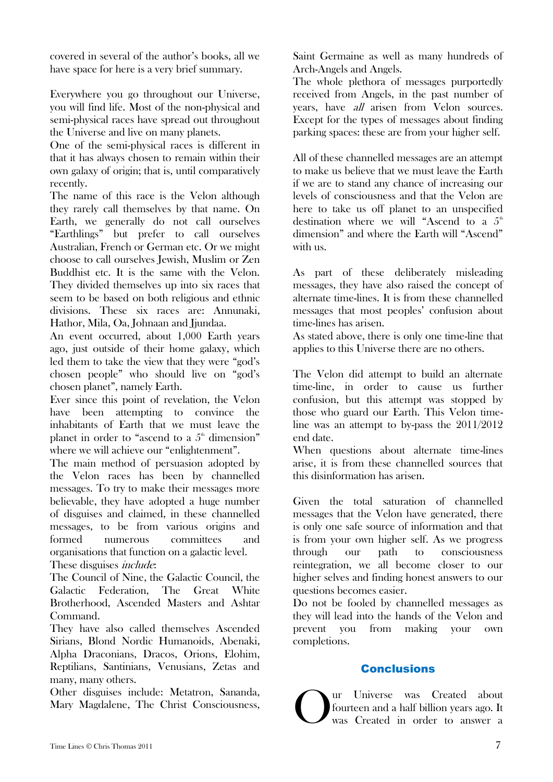covered in several of the author's books, all we have space for here is a very brief summary.

Everywhere you go throughout our Universe, you will find life. Most of the non-physical and semi-physical races have spread out throughout the Universe and live on many planets.

One of the semi-physical races is different in that it has always chosen to remain within their own galaxy of origin; that is, until comparatively recently.

The name of this race is the Velon although they rarely call themselves by that name. On Earth, we generally do not call ourselves "Earthlings" but prefer to call ourselves Australian, French or German etc. Or we might choose to call ourselves Jewish, Muslim or Zen Buddhist etc. It is the same with the Velon. They divided themselves up into six races that seem to be based on both religious and ethnic divisions. These six races are: Annunaki, Hathor, Mila, Oa, Johnaan and Jjundaa.

An event occurred, about 1,000 Earth years ago, just outside of their home galaxy, which led them to take the view that they were "god's chosen people" who should live on "god's chosen planet", namely Earth.

Ever since this point of revelation, the Velon have been attempting to convince the inhabitants of Earth that we must leave the planet in order to "ascend to a  $5<sup>th</sup>$  dimension" where we will achieve our "enlightenment".

The main method of persuasion adopted by the Velon races has been by channelled messages. To try to make their messages more believable, they have adopted a huge number of disguises and claimed, in these channelled messages, to be from various origins and formed numerous committees and organisations that function on a galactic level. These disguises include:

The Council of Nine, the Galactic Council, the Galactic Federation, The Great White Brotherhood, Ascended Masters and Ashtar Command.

They have also called themselves Ascended Sirians, Blond Nordic Humanoids, Abenaki, Alpha Draconians, Dracos, Orions, Elohim, Reptilians, Santinians, Venusians, Zetas and many, many others.

Other disguises include: Metatron, Sananda, Mary Magdalene, The Christ Consciousness,

Saint Germaine as well as many hundreds of Arch-Angels and Angels.

The whole plethora of messages purportedly received from Angels, in the past number of years, have *all* arisen from Velon sources. Except for the types of messages about finding parking spaces: these are from your higher self.

All of these channelled messages are an attempt to make us believe that we must leave the Earth if we are to stand any chance of increasing our levels of consciousness and that the Velon are here to take us off planet to an unspecified destination where we will "Ascend to a  $5<sup>th</sup>$ dimension" and where the Earth will "Ascend" with us.

As part of these deliberately misleading messages, they have also raised the concept of alternate time-lines. It is from these channelled messages that most peoples' confusion about time-lines has arisen.

As stated above, there is only one time-line that applies to this Universe there are no others.

The Velon did attempt to build an alternate time-line, in order to cause us further confusion, but this attempt was stopped by those who guard our Earth. This Velon timeline was an attempt to by-pass the 2011/2012 end date.

When questions about alternate time-lines arise, it is from these channelled sources that this disinformation has arisen.

Given the total saturation of channelled messages that the Velon have generated, there is only one safe source of information and that is from your own higher self. As we progress through our path to consciousness reintegration, we all become closer to our higher selves and finding honest answers to our questions becomes easier.

Do not be fooled by channelled messages as they will lead into the hands of the Velon and prevent you from making your own completions.

## **Conclusions**

ur Universe was Created about fourteen and a half billion years ago. It was Created in order to answer a